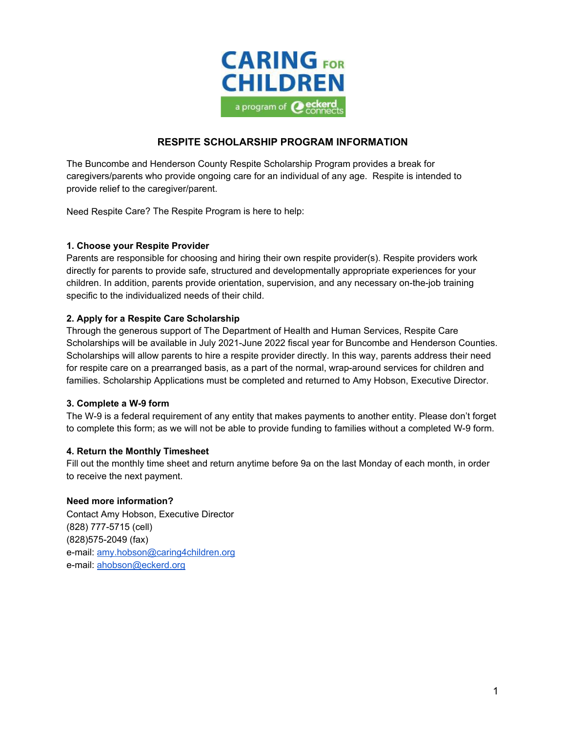

## **RESPITE SCHOLARSHIP PROGRAM INFORMATION**

The Buncombe and Henderson County Respite Scholarship Program provides a break for caregivers/parents who provide ongoing care for an individual of any age. Respite is intended to provide relief to the caregiver/parent.

Need Respite Care? The Respite Program is here to help:

### **1. Choose your Respite Provider**

Parents are responsible for choosing and hiring their own respite provider(s). Respite providers work directly for parents to provide safe, structured and developmentally appropriate experiences for your children. In addition, parents provide orientation, supervision, and any necessary on-the-job training specific to the individualized needs of their child.

### **2. Apply for a Respite Care Scholarship**

Through the generous support of The Department of Health and Human Services, Respite Care Scholarships will be available in July 2021-June 2022 fiscal year for Buncombe and Henderson Counties. Scholarships will allow parents to hire a respite provider directly. In this way, parents address their need for respite care on a prearranged basis, as a part of the normal, wrap-around services for children and families. Scholarship Applications must be completed and returned to Amy Hobson, Executive Director.

#### **3. Complete a W-9 form**

The W-9 is a federal requirement of any entity that makes payments to another entity. Please don't forget to complete this form; as we will not be able to provide funding to families without a completed W-9 form.

#### **4. Return the Monthly Timesheet**

Fill out the monthly time sheet and return anytime before 9a on the last Monday of each month, in order to receive the next payment.

## **Need more information?**

Contact Amy Hobson, Executive Director (828) 777-5715 (cell) (828)575-2049 (fax) e-mail: [amy.hobson@caring4children.org](mailto:amy.hobson@caring4children.org) e-mail: [ahobson@eckerd.org](mailto:ahobson@eckerd.org)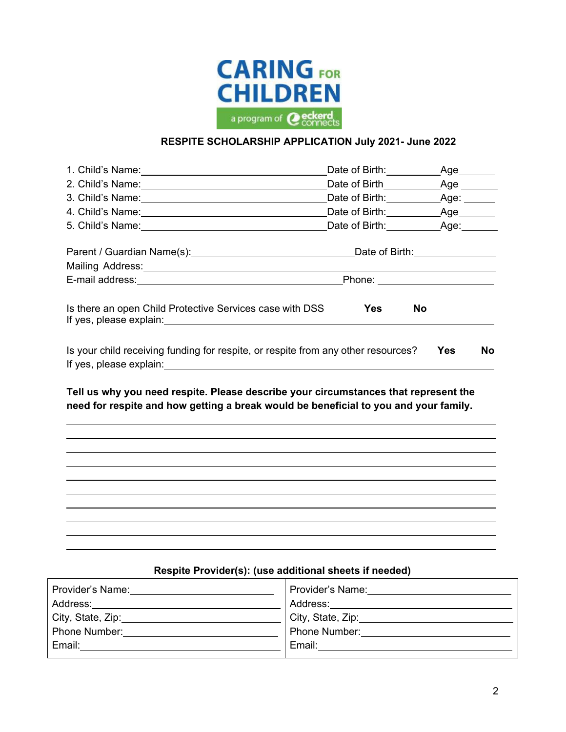

## **RESPITE SCHOLARSHIP APPLICATION July 2021- June 2022**

|                                                                                                                                                                             |            | Date of Birth: Age: Age: |
|-----------------------------------------------------------------------------------------------------------------------------------------------------------------------------|------------|--------------------------|
|                                                                                                                                                                             |            |                          |
| Mailing Address: Mail and Mail and Mail and Mail and Mail and Mail and Mail and Mail and Mail and Mail and Mail                                                             |            |                          |
|                                                                                                                                                                             |            |                          |
| Is there an open Child Protective Services case with DSS                                                                                                                    | <b>Yes</b> | No                       |
| Is your child receiving funding for respite, or respite from any other resources?                                                                                           |            | Yes<br><b>No</b>         |
| Tell us why you need respite. Please describe your circumstances that represent the<br>need for respite and how getting a break would be beneficial to you and your family. |            |                          |
|                                                                                                                                                                             |            |                          |
|                                                                                                                                                                             |            |                          |
|                                                                                                                                                                             |            |                          |
|                                                                                                                                                                             |            |                          |
|                                                                                                                                                                             |            |                          |
|                                                                                                                                                                             |            |                          |

# **Respite Provider(s): (use additional sheets if needed)**

| Provider's Name:                             | Provider's Name:       |
|----------------------------------------------|------------------------|
| Address:                                     | Address:               |
| City, State, Zip: __________________________ | City, State, Zip: 1980 |
| Phone Number:                                | Phone Number:          |
| Email:                                       | Email:                 |
|                                              |                        |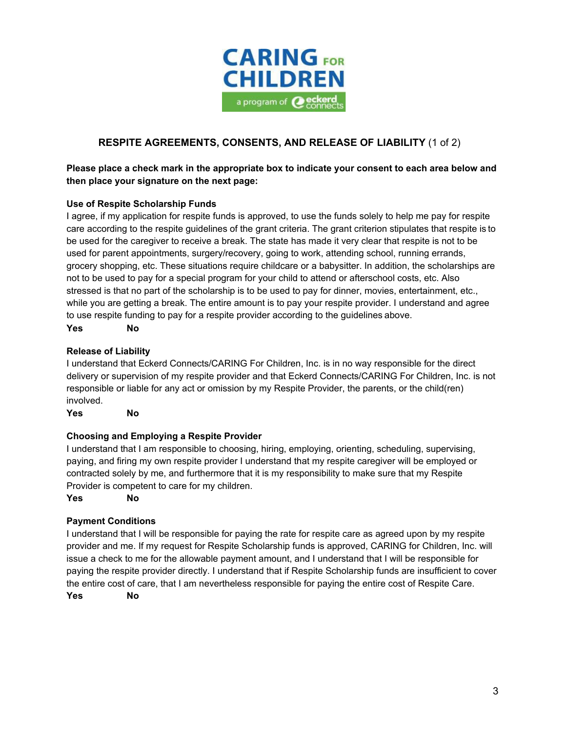

# **RESPITE AGREEMENTS, CONSENTS, AND RELEASE OF LIABILITY** (1 of 2)

## **Please place a check mark in the appropriate box to indicate your consent to each area below and then place your signature on the next page:**

### **Use of Respite Scholarship Funds**

I agree, if my application for respite funds is approved, to use the funds solely to help me pay for respite care according to the respite guidelines of the grant criteria. The grant criterion stipulates that respite is to be used for the caregiver to receive a break. The state has made it very clear that respite is not to be used for parent appointments, surgery/recovery, going to work, attending school, running errands, grocery shopping, etc. These situations require childcare or a babysitter. In addition, the scholarships are not to be used to pay for a special program for your child to attend or afterschool costs, etc. Also stressed is that no part of the scholarship is to be used to pay for dinner, movies, entertainment, etc., while you are getting a break. The entire amount is to pay your respite provider. I understand and agree to use respite funding to pay for a respite provider according to the guidelines above.

**Yes No**

#### **Release of Liability**

I understand that Eckerd Connects/CARING For Children, Inc. is in no way responsible for the direct delivery or supervision of my respite provider and that Eckerd Connects/CARING For Children, Inc. is not responsible or liable for any act or omission by my Respite Provider, the parents, or the child(ren) involved.

**Yes No**

#### **Choosing and Employing a Respite Provider**

I understand that I am responsible to choosing, hiring, employing, orienting, scheduling, supervising, paying, and firing my own respite provider I understand that my respite caregiver will be employed or contracted solely by me, and furthermore that it is my responsibility to make sure that my Respite Provider is competent to care for my children.

**Yes No**

#### **Payment Conditions**

I understand that I will be responsible for paying the rate for respite care as agreed upon by my respite provider and me. If my request for Respite Scholarship funds is approved, CARING for Children, Inc. will issue a check to me for the allowable payment amount, and I understand that I will be responsible for paying the respite provider directly. I understand that if Respite Scholarship funds are insufficient to cover the entire cost of care, that I am nevertheless responsible for paying the entire cost of Respite Care.

**Yes No**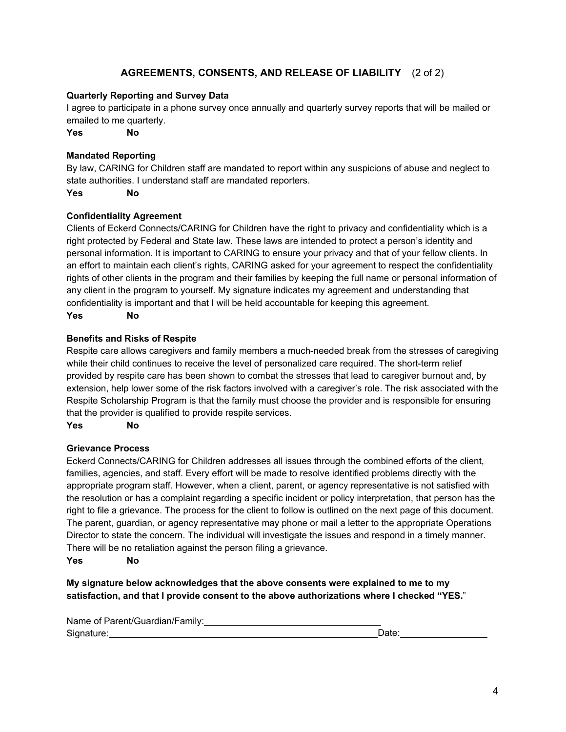## **AGREEMENTS, CONSENTS, AND RELEASE OF LIABILITY** (2 of 2)

### **Quarterly Reporting and Survey Data**

I agree to participate in a phone survey once annually and quarterly survey reports that will be mailed or emailed to me quarterly.

**Yes No**

### **Mandated Reporting**

By law, CARING for Children staff are mandated to report within any suspicions of abuse and neglect to state authorities. I understand staff are mandated reporters.

**Yes No**

#### **Confidentiality Agreement**

Clients of Eckerd Connects/CARING for Children have the right to privacy and confidentiality which is a right protected by Federal and State law. These laws are intended to protect a person's identity and personal information. It is important to CARING to ensure your privacy and that of your fellow clients. In an effort to maintain each client's rights, CARING asked for your agreement to respect the confidentiality rights of other clients in the program and their families by keeping the full name or personal information of any client in the program to yourself. My signature indicates my agreement and understanding that confidentiality is important and that I will be held accountable for keeping this agreement.

#### **Yes No**

### **Benefits and Risks of Respite**

Respite care allows caregivers and family members a much-needed break from the stresses of caregiving while their child continues to receive the level of personalized care required. The short-term relief provided by respite care has been shown to combat the stresses that lead to caregiver burnout and, by extension, help lower some of the risk factors involved with a caregiver's role. The risk associated with the Respite Scholarship Program is that the family must choose the provider and is responsible for ensuring that the provider is qualified to provide respite services.

**Yes No**

#### **Grievance Process**

Eckerd Connects/CARING for Children addresses all issues through the combined efforts of the client, families, agencies, and staff. Every effort will be made to resolve identified problems directly with the appropriate program staff. However, when a client, parent, or agency representative is not satisfied with the resolution or has a complaint regarding a specific incident or policy interpretation, that person has the right to file a grievance. The process for the client to follow is outlined on the next page of this document. The parent, guardian, or agency representative may phone or mail a letter to the appropriate Operations Director to state the concern. The individual will investigate the issues and respond in a timely manner. There will be no retaliation against the person filing a grievance.

**Yes No**

**My signature below acknowledges that the above consents were explained to me to my satisfaction, and that I provide consent to the above authorizations where I checked "YES.**"

Name of Parent/Guardian/Family: Signature:

Date: **Date:**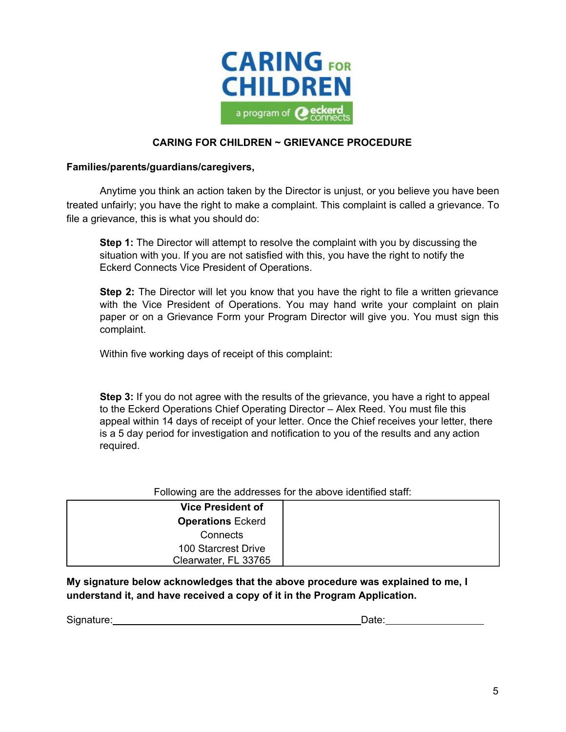

## **CARING FOR CHILDREN ~ GRIEVANCE PROCEDURE**

### **Families/parents/guardians/caregivers,**

Anytime you think an action taken by the Director is unjust, or you believe you have been treated unfairly; you have the right to make a complaint. This complaint is called a grievance. To file a grievance, this is what you should do:

**Step 1:** The Director will attempt to resolve the complaint with you by discussing the situation with you. If you are not satisfied with this, you have the right to notify the Eckerd Connects Vice President of Operations.

**Step 2:** The Director will let you know that you have the right to file a written grievance with the Vice President of Operations. You may hand write your complaint on plain paper or on a Grievance Form your Program Director will give you. You must sign this complaint.

Within five working days of receipt of this complaint:

**Step 3:** If you do not agree with the results of the grievance, you have a right to appeal to the Eckerd Operations Chief Operating Director – Alex Reed. You must file this appeal within 14 days of receipt of your letter. Once the Chief receives your letter, there is a 5 day period for investigation and notification to you of the results and any action required.

Following are the addresses for the above identified staff:

| <b>Vice President of</b> |  |
|--------------------------|--|
| <b>Operations Eckerd</b> |  |
| Connects                 |  |
| 100 Starcrest Drive      |  |
| Clearwater, FL 33765     |  |

**My signature below acknowledges that the above procedure was explained to me, I understand it, and have received a copy of it in the Program Application.**

Signature: Date: Date: Date: Date: Date: Date: Date: Date: Date: Date: Date: Date: Date: Date: Date: Date: Date: Date: Date: Date: Date: Date: Date: Date: Date: Date: Date: Date: Date: Date: Date: Date: Date: Date: Date: D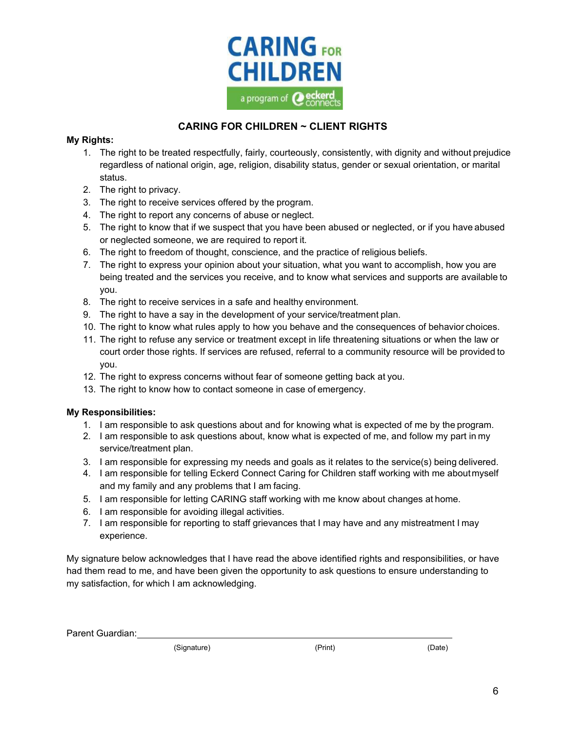

# **CARING FOR CHILDREN ~ CLIENT RIGHTS**

## **My Rights:**

- 1. The right to be treated respectfully, fairly, courteously, consistently, with dignity and without prejudice regardless of national origin, age, religion, disability status, gender or sexual orientation, or marital status.
- 2. The right to privacy.
- 3. The right to receive services offered by the program.
- 4. The right to report any concerns of abuse or neglect.
- 5. The right to know that if we suspect that you have been abused or neglected, or if you have abused or neglected someone, we are required to report it.
- 6. The right to freedom of thought, conscience, and the practice of religious beliefs.
- 7. The right to express your opinion about your situation, what you want to accomplish, how you are being treated and the services you receive, and to know what services and supports are available to you.
- 8. The right to receive services in a safe and healthy environment.
- 9. The right to have a say in the development of your service/treatment plan.
- 10. The right to know what rules apply to how you behave and the consequences of behavior choices.
- 11. The right to refuse any service or treatment except in life threatening situations or when the law or court order those rights. If services are refused, referral to a community resource will be provided to you.
- 12. The right to express concerns without fear of someone getting back at you.
- 13. The right to know how to contact someone in case of emergency.

## **My Responsibilities:**

- 1. I am responsible to ask questions about and for knowing what is expected of me by the program.
- 2. I am responsible to ask questions about, know what is expected of me, and follow my part in my service/treatment plan.
- 3. I am responsible for expressing my needs and goals as it relates to the service(s) being delivered.
- 4. I am responsible for telling Eckerd Connect Caring for Children staff working with me aboutmyself and my family and any problems that I am facing.
- 5. I am responsible for letting CARING staff working with me know about changes at home.
- 6. I am responsible for avoiding illegal activities.
- 7. I am responsible for reporting to staff grievances that I may have and any mistreatment I may experience.

My signature below acknowledges that I have read the above identified rights and responsibilities, or have had them read to me, and have been given the opportunity to ask questions to ensure understanding to my satisfaction, for which I am acknowledging.

Parent Guardian:

(Signature) (Print) (Date)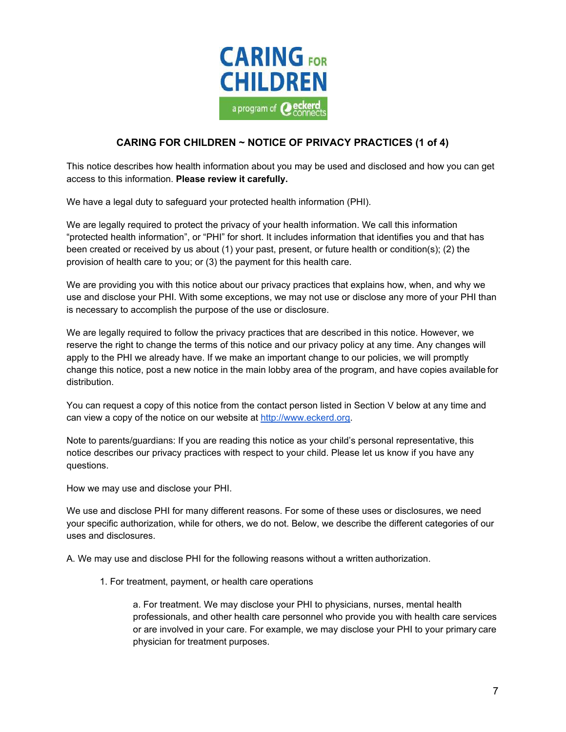

## **CARING FOR CHILDREN ~ NOTICE OF PRIVACY PRACTICES (1 of 4)**

This notice describes how health information about you may be used and disclosed and how you can get access to this information. **Please review it carefully.**

We have a legal duty to safeguard your protected health information (PHI).

We are legally required to protect the privacy of your health information. We call this information "protected health information", or "PHI" for short. It includes information that identifies you and that has been created or received by us about (1) your past, present, or future health or condition(s); (2) the provision of health care to you; or (3) the payment for this health care.

We are providing you with this notice about our privacy practices that explains how, when, and why we use and disclose your PHI. With some exceptions, we may not use or disclose any more of your PHI than is necessary to accomplish the purpose of the use or disclosure.

We are legally required to follow the privacy practices that are described in this notice. However, we reserve the right to change the terms of this notice and our privacy policy at any time. Any changes will apply to the PHI we already have. If we make an important change to our policies, we will promptly change this notice, post a new notice in the main lobby area of the program, and have copies available for distribution.

You can request a copy of this notice from the contact person listed in Section V below at any time and can view a copy of the notice on our website at [http://www.eckerd.org.](http://www.eckerd.org/)

Note to parents/guardians: If you are reading this notice as your child's personal representative, this notice describes our privacy practices with respect to your child. Please let us know if you have any questions.

How we may use and disclose your PHI.

We use and disclose PHI for many different reasons. For some of these uses or disclosures, we need your specific authorization, while for others, we do not. Below, we describe the different categories of our uses and disclosures.

A. We may use and disclose PHI for the following reasons without a written authorization.

1. For treatment, payment, or health care operations

a. For treatment. We may disclose your PHI to physicians, nurses, mental health professionals, and other health care personnel who provide you with health care services or are involved in your care. For example, we may disclose your PHI to your primary care physician for treatment purposes.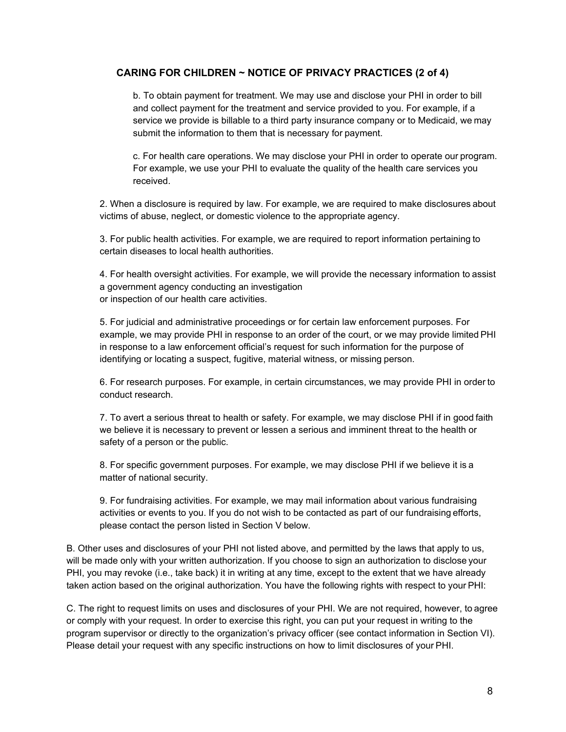## **CARING FOR CHILDREN ~ NOTICE OF PRIVACY PRACTICES (2 of 4)**

b. To obtain payment for treatment. We may use and disclose your PHI in order to bill and collect payment for the treatment and service provided to you. For example, if a service we provide is billable to a third party insurance company or to Medicaid, we may submit the information to them that is necessary for payment.

c. For health care operations. We may disclose your PHI in order to operate our program. For example, we use your PHI to evaluate the quality of the health care services you received.

2. When a disclosure is required by law. For example, we are required to make disclosures about victims of abuse, neglect, or domestic violence to the appropriate agency.

3. For public health activities. For example, we are required to report information pertaining to certain diseases to local health authorities.

4. For health oversight activities. For example, we will provide the necessary information to assist a government agency conducting an investigation or inspection of our health care activities.

5. For judicial and administrative proceedings or for certain law enforcement purposes. For example, we may provide PHI in response to an order of the court, or we may provide limited PHI in response to a law enforcement official's request for such information for the purpose of identifying or locating a suspect, fugitive, material witness, or missing person.

6. For research purposes. For example, in certain circumstances, we may provide PHI in order to conduct research.

7. To avert a serious threat to health or safety. For example, we may disclose PHI if in good faith we believe it is necessary to prevent or lessen a serious and imminent threat to the health or safety of a person or the public.

8. For specific government purposes. For example, we may disclose PHI if we believe it is a matter of national security.

9. For fundraising activities. For example, we may mail information about various fundraising activities or events to you. If you do not wish to be contacted as part of our fundraising efforts, please contact the person listed in Section V below.

B. Other uses and disclosures of your PHI not listed above, and permitted by the laws that apply to us, will be made only with your written authorization. If you choose to sign an authorization to disclose your PHI, you may revoke (i.e., take back) it in writing at any time, except to the extent that we have already taken action based on the original authorization. You have the following rights with respect to your PHI:

C. The right to request limits on uses and disclosures of your PHI. We are not required, however, to agree or comply with your request. In order to exercise this right, you can put your request in writing to the program supervisor or directly to the organization's privacy officer (see contact information in Section VI). Please detail your request with any specific instructions on how to limit disclosures of your PHI.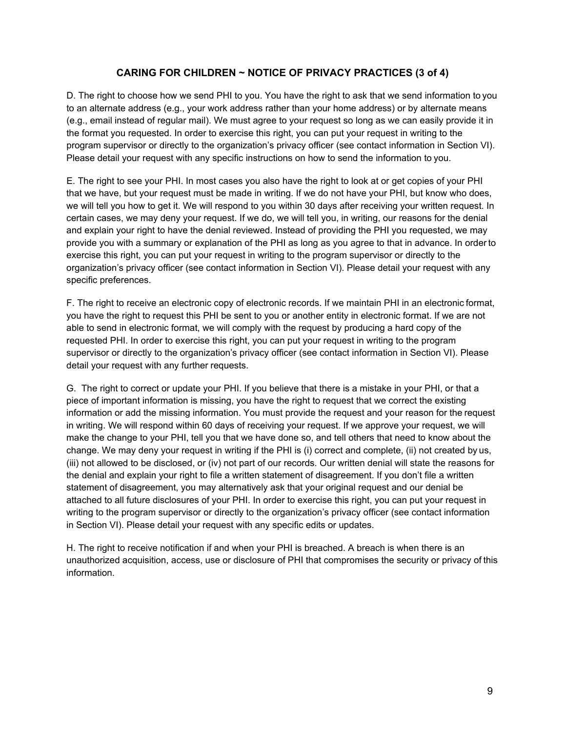## **CARING FOR CHILDREN ~ NOTICE OF PRIVACY PRACTICES (3 of 4)**

D. The right to choose how we send PHI to you. You have the right to ask that we send information to you to an alternate address (e.g., your work address rather than your home address) or by alternate means (e.g., email instead of regular mail). We must agree to your request so long as we can easily provide it in the format you requested. In order to exercise this right, you can put your request in writing to the program supervisor or directly to the organization's privacy officer (see contact information in Section VI). Please detail your request with any specific instructions on how to send the information to you.

E. The right to see your PHI. In most cases you also have the right to look at or get copies of your PHI that we have, but your request must be made in writing. If we do not have your PHI, but know who does, we will tell you how to get it. We will respond to you within 30 days after receiving your written request. In certain cases, we may deny your request. If we do, we will tell you, in writing, our reasons for the denial and explain your right to have the denial reviewed. Instead of providing the PHI you requested, we may provide you with a summary or explanation of the PHI as long as you agree to that in advance. In orderto exercise this right, you can put your request in writing to the program supervisor or directly to the organization's privacy officer (see contact information in Section VI). Please detail your request with any specific preferences.

F. The right to receive an electronic copy of electronic records. If we maintain PHI in an electronic format, you have the right to request this PHI be sent to you or another entity in electronic format. If we are not able to send in electronic format, we will comply with the request by producing a hard copy of the requested PHI. In order to exercise this right, you can put your request in writing to the program supervisor or directly to the organization's privacy officer (see contact information in Section VI). Please detail your request with any further requests.

G. The right to correct or update your PHI. If you believe that there is a mistake in your PHI, or that a piece of important information is missing, you have the right to request that we correct the existing information or add the missing information. You must provide the request and your reason for the request in writing. We will respond within 60 days of receiving your request. If we approve your request, we will make the change to your PHI, tell you that we have done so, and tell others that need to know about the change. We may deny your request in writing if the PHI is (i) correct and complete, (ii) not created by us, (iii) not allowed to be disclosed, or (iv) not part of our records. Our written denial will state the reasons for the denial and explain your right to file a written statement of disagreement. If you don't file a written statement of disagreement, you may alternatively ask that your original request and our denial be attached to all future disclosures of your PHI. In order to exercise this right, you can put your request in writing to the program supervisor or directly to the organization's privacy officer (see contact information in Section VI). Please detail your request with any specific edits or updates.

H. The right to receive notification if and when your PHI is breached. A breach is when there is an unauthorized acquisition, access, use or disclosure of PHI that compromises the security or privacy of this information.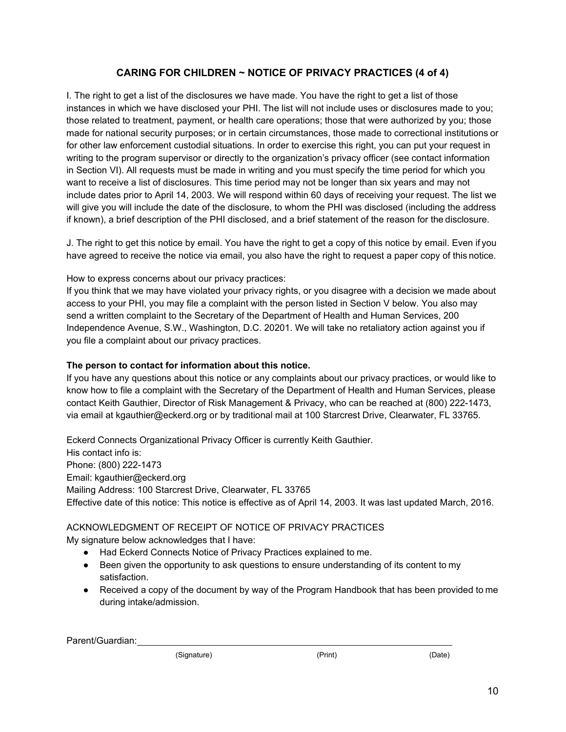## **CARING FOR CHILDREN ~ NOTICE OF PRIVACY PRACTICES (4 of 4)**

I. The right to get a list of the disclosures we have made. You have the right to get a list of those instances in which we have disclosed your PHI. The list will not include uses or disclosures made to you; those related to treatment, payment, or health care operations; those that were authorized by you; those made for national security purposes; or in certain circumstances, those made to correctional institutions or for other law enforcement custodial situations. In order to exercise this right, you can put your request in writing to the program supervisor or directly to the organization's privacy officer (see contact information in Section VI). All requests must be made in writing and you must specify the time period for which you want to receive a list of disclosures. This time period may not be longer than six years and may not include dates prior to April 14, 2003. We will respond within 60 days of receiving your request. The list we will give you will include the date of the disclosure, to whom the PHI was disclosed (including the address if known), a brief description of the PHI disclosed, and a brief statement of the reason for the disclosure.

J. The right to get this notice by email. You have the right to get a copy of this notice by email. Even if you have agreed to receive the notice via email, you also have the right to request a paper copy of this notice.

How to express concerns about our privacy practices:

If you think that we may have violated your privacy rights, or you disagree with a decision we made about access to your PHI, you may file a complaint with the person listed in Section V below. You also may send a written complaint to the Secretary of the Department of Health and Human Services, 200 Independence Avenue, S.W., Washington, D.C. 20201. We will take no retaliatory action against you if you file a complaint about our privacy practices.

## **The person to contact for information about this notice.**

If you have any questions about this notice or any complaints about our privacy practices, or would like to know how to file a complaint with the Secretary of the Department of Health and Human Services, please contact Keith Gauthier, Director of Risk Management & Privacy, who can be reached at (800) 222-1473, via email at [kgauthier@eckerd.org o](mailto:kgauthier@eckerd.org)r by traditional mail at 100 Starcrest Drive, Clearwater, FL 33765.

Eckerd Connects Organizational Privacy Officer is currently Keith Gauthier. His contact info is: Phone: (800) 222-1473 Email: [kgauthier@eckerd.org](mailto:kgauthier@eckerd.org) Mailing Address: 100 Starcrest Drive, Clearwater, FL 33765 Effective date of this notice: This notice is effective as of April 14, 2003. It was last updated March, 2016.

## ACKNOWLEDGMENT OF RECEIPT OF NOTICE OF PRIVACY PRACTICES

My signature below acknowledges that I have:

- Had Eckerd Connects Notice of Privacy Practices explained to me.
- Been given the opportunity to ask questions to ensure understanding of its content to my satisfaction.
- Received a copy of the document by way of the Program Handbook that has been provided to me during intake/admission.

Parent/Guardian:

(Signature) (Print) (Date)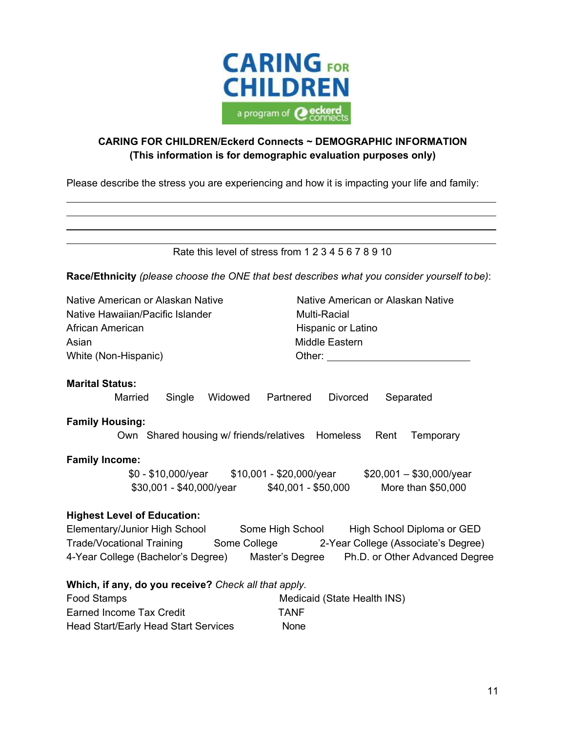

# **CARING FOR CHILDREN/Eckerd Connects ~ DEMOGRAPHIC INFORMATION (This information is for demographic evaluation purposes only)**

Please describe the stress you are experiencing and how it is impacting your life and family:

| Rate this level of stress from 1 2 3 4 5 6 7 8 9 10                                                                                  |                                                                                              |  |  |  |
|--------------------------------------------------------------------------------------------------------------------------------------|----------------------------------------------------------------------------------------------|--|--|--|
|                                                                                                                                      | Race/Ethnicity (please choose the ONE that best describes what you consider yourself to be): |  |  |  |
| Native American or Alaskan Native                                                                                                    | Native American or Alaskan Native                                                            |  |  |  |
| Native Hawaiian/Pacific Islander                                                                                                     | <b>Multi-Racial</b>                                                                          |  |  |  |
| African American                                                                                                                     | Hispanic or Latino                                                                           |  |  |  |
| Asian                                                                                                                                | <b>Middle Eastern</b>                                                                        |  |  |  |
| White (Non-Hispanic)                                                                                                                 | Other: $\sqrt{ }$                                                                            |  |  |  |
| <b>Marital Status:</b><br>Single<br>Widowed<br>Married<br><b>Family Housing:</b><br>Own Shared housing w/ friends/relatives Homeless | Partnered<br><b>Divorced</b><br>Separated<br>Rent<br>Temporary                               |  |  |  |
| <b>Family Income:</b><br>\$0 - \$10,000/year \$10,001 - \$20,000/year<br>$$30,001 - $40,000/\text{year}$ \$40,001 - \$50,000         | $$20,001 - $30,000$ /year<br>More than \$50,000                                              |  |  |  |
| <b>Highest Level of Education:</b><br>Elementary/Junior High School Some High School                                                 | High School Diploma or GED                                                                   |  |  |  |
| <b>Trade/Vocational Training</b>                                                                                                     | Some College 2-Year College (Associate's Degree)                                             |  |  |  |
| 4-Year College (Bachelor's Degree) Master's Degree                                                                                   | Ph.D. or Other Advanced Degree                                                               |  |  |  |
| Which, if any, do you receive? Check all that apply.                                                                                 |                                                                                              |  |  |  |
| <b>Food Stamps</b>                                                                                                                   | Medicaid (State Health INS)                                                                  |  |  |  |
| <b>Earned Income Tax Credit</b>                                                                                                      | <b>TANF</b>                                                                                  |  |  |  |

Head Start/Early Head Start Services None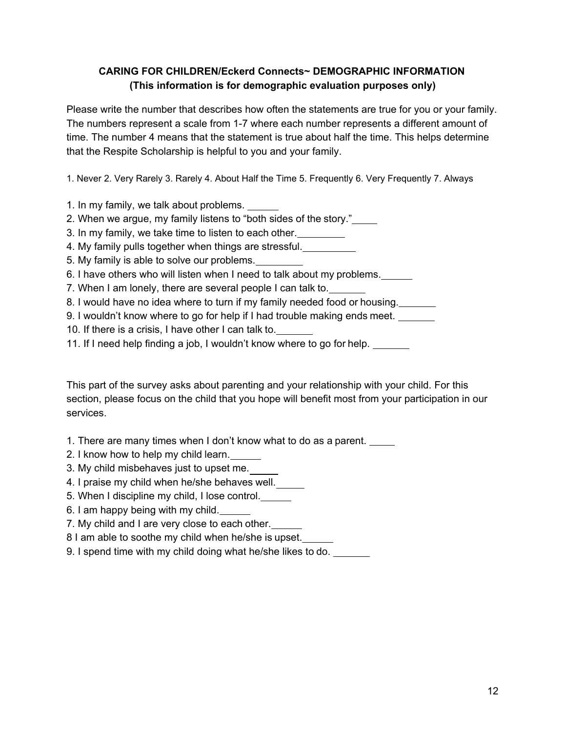## **CARING FOR CHILDREN/Eckerd Connects~ DEMOGRAPHIC INFORMATION (This information is for demographic evaluation purposes only)**

Please write the number that describes how often the statements are true for you or your family. The numbers represent a scale from 1-7 where each number represents a different amount of time. The number 4 means that the statement is true about half the time. This helps determine that the Respite Scholarship is helpful to you and your family.

1. Never 2. Very Rarely 3. Rarely 4. About Half the Time 5. Frequently 6. Very Frequently 7. Always

- 1. In my family, we talk about problems.
- 2. When we argue, my family listens to "both sides of the story."
- 3. In my family, we take time to listen to each other.
- 4. My family pulls together when things are stressful.
- 5. My family is able to solve our problems.
- 6. I have others who will listen when I need to talk about my problems.
- 7. When I am lonely, there are several people I can talk to.
- 8. I would have no idea where to turn if my family needed food or housing.
- 9. I wouldn't know where to go for help if I had trouble making ends meet.
- 10. If there is a crisis, I have other I can talk to.
- 11. If I need help finding a job, I wouldn't know where to go for help.

This part of the survey asks about parenting and your relationship with your child. For this section, please focus on the child that you hope will benefit most from your participation in our services.

- 1. There are many times when I don't know what to do as a parent.
- 2. I know how to help my child learn.
- 3. My child misbehaves just to upset me.
- 4. I praise my child when he/she behaves well.
- 5. When I discipline my child, I lose control.
- 6. I am happy being with my child.
- 7. My child and I are very close to each other.
- 8 I am able to soothe my child when he/she is upset.
- 9. I spend time with my child doing what he/she likes to do.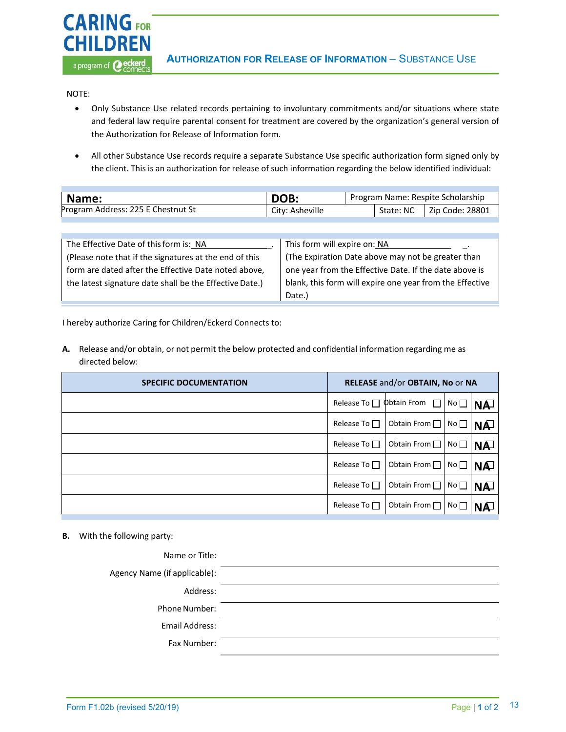

NOTE:

**CARING FOR** 

**CHILDREN** 

a program of **@eckerd** 

- Only Substance Use related records pertaining to involuntary commitments and/or situations where state and federal law require parental consent for treatment are covered by the organization's general version of the Authorization for Release of Information form.
- All other Substance Use records require a separate Substance Use specific authorization form signed only by the client. This is an authorization for release of such information regarding the below identified individual:

| Name:                              | DOB:            | Program Name: Respite Scholarship |  |                             |
|------------------------------------|-----------------|-----------------------------------|--|-----------------------------|
| Program Address: 225 E Chestnut St | City: Asheville |                                   |  | State: NC   Zip Code: 28801 |

| The Effective Date of this form is: NA                  | This form will expire on: NA                             |
|---------------------------------------------------------|----------------------------------------------------------|
| (Please note that if the signatures at the end of this  | (The Expiration Date above may not be greater than       |
| form are dated after the Effective Date noted above,    | one year from the Effective Date. If the date above is   |
| the latest signature date shall be the Effective Date.) | blank, this form will expire one year from the Effective |
|                                                         | Date.)                                                   |

I hereby authorize Caring for Children/Eckerd Connects to:

**A.** Release and/or obtain, or not permit the below protected and confidential information regarding me as directed below:

| <b>SPECIFIC DOCUMENTATION</b> | RELEASE and/or OBTAIN, No or NA |                                            |                 |           |
|-------------------------------|---------------------------------|--------------------------------------------|-----------------|-----------|
|                               |                                 | Release To $\Box$ $\Phi$ btain From $\Box$ | No <sub>1</sub> | <b>NA</b> |
|                               | Release To $\Box$               | Obtain From $\Box$                         | No <sub>l</sub> | <b>NA</b> |
|                               | Release To $\Box$               | Obtain From $\Box$ No $\Box$               |                 | <b>NA</b> |
|                               | Release To $\Box$               | Obtain From                                | No L            | <b>NA</b> |
|                               | Release To $\Box$               | Obtain From $\Box$                         | No $\Gamma$     | <b>NA</b> |
|                               | Release To $\Box$               | Obtain From $\Box$                         | $N$ o           | NÆ        |

#### **B.** With the following party:

| Name or Title:               |  |
|------------------------------|--|
| Agency Name (if applicable): |  |
| Address:                     |  |
| Phone Number:                |  |
| Email Address:               |  |
| Fax Number:                  |  |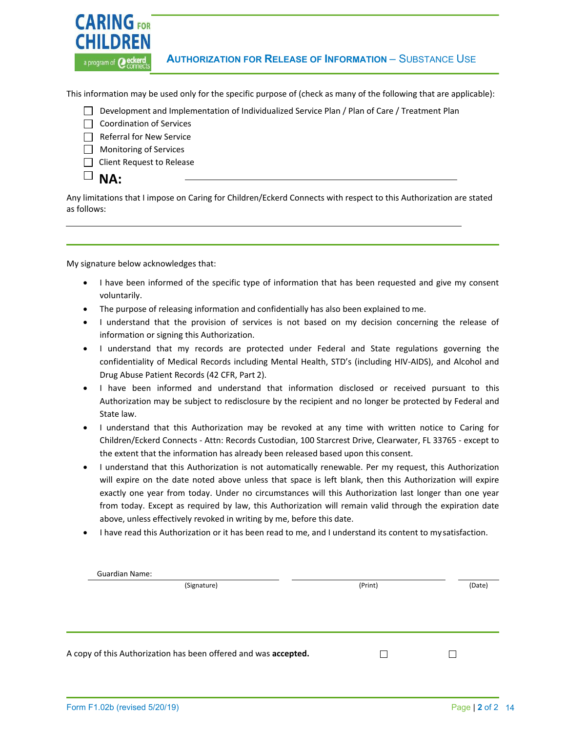

This information may be used only for the specific purpose of (check as many of the following that are applicable):

- Development and Implementation of Individualized Service Plan / Plan of Care / Treatment Plan
- $\Box$  Coordination of Services
- $\Box$  Referral for New Service
- $\Box$  Monitoring of Services
- **Client Request to Release**

# $\Box$  NA:

Any limitations that I impose on Caring for Children/Eckerd Connects with respect to this Authorization are stated as follows:

My signature below acknowledges that:

- I have been informed of the specific type of information that has been requested and give my consent voluntarily.
- The purpose of releasing information and confidentially has also been explained to me.
- I understand that the provision of services is not based on my decision concerning the release of information or signing this Authorization.
- I understand that my records are protected under Federal and State regulations governing the confidentiality of Medical Records including Mental Health, STD's (including HIV-AIDS), and Alcohol and Drug Abuse Patient Records (42 CFR, Part 2).
- I have been informed and understand that information disclosed or received pursuant to this Authorization may be subject to redisclosure by the recipient and no longer be protected by Federal and State law.
- I understand that this Authorization may be revoked at any time with written notice to Caring for Children/Eckerd Connects - Attn: Records Custodian, 100 Starcrest Drive, Clearwater, FL 33765 - except to the extent that the information has already been released based upon this consent.
- I understand that this Authorization is not automatically renewable. Per my request, this Authorization will expire on the date noted above unless that space is left blank, then this Authorization will expire exactly one year from today. Under no circumstances will this Authorization last longer than one year from today. Except as required by law, this Authorization will remain valid through the expiration date above, unless effectively revoked in writing by me, before this date.
- I have read this Authorization or it has been read to me, and I understand its content to my satisfaction.

| <b>Guardian Name:</b>                                           |         |        |
|-----------------------------------------------------------------|---------|--------|
| (Signature)                                                     | (Print) | (Date) |
|                                                                 |         |        |
|                                                                 |         |        |
|                                                                 |         |        |
|                                                                 |         |        |
|                                                                 |         |        |
|                                                                 |         |        |
| A copy of this Authorization has been offered and was accepted. |         |        |
|                                                                 |         |        |
|                                                                 |         |        |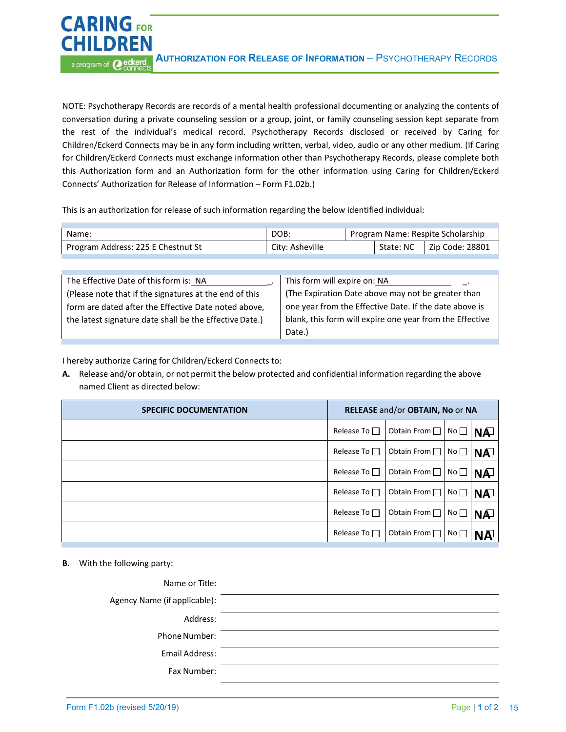NOTE: Psychotherapy Records are records of a mental health professional documenting or analyzing the contents of conversation during a private counseling session or a group, joint, or family counseling session kept separate from the rest of the individual's medical record. Psychotherapy Records disclosed or received by Caring for Children/Eckerd Connects may be in any form including written, verbal, video, audio or any other medium. (If Caring for Children/Eckerd Connects must exchange information other than Psychotherapy Records, please complete both this Authorization form and an Authorization form for the other information using Caring for Children/Eckerd Connects' Authorization for Release of Information – Form F1.02b.)

This is an authorization for release of such information regarding the below identified individual:

| Name:                              | DOB:            | Program Name: Respite Scholarship |           |                 |
|------------------------------------|-----------------|-----------------------------------|-----------|-----------------|
| Program Address: 225 E Chestnut St | City: Asheville |                                   | State: NC | Zip Code: 28801 |

| The Effective Date of this form is: NA                  | This form will expire on: NA                             |
|---------------------------------------------------------|----------------------------------------------------------|
| (Please note that if the signatures at the end of this  | (The Expiration Date above may not be greater than       |
| form are dated after the Effective Date noted above,    | one year from the Effective Date. If the date above is   |
| the latest signature date shall be the Effective Date.) | blank, this form will expire one year from the Effective |
|                                                         | Date.)                                                   |

I hereby authorize Caring for Children/Eckerd Connects to:

**A.** Release and/or obtain, or not permit the below protected and confidential information regarding the above named Client as directed below:

| <b>SPECIFIC DOCUMENTATION</b> | RELEASE and/or OBTAIN, No or NA |                    |                 |           |
|-------------------------------|---------------------------------|--------------------|-----------------|-----------|
|                               | Release To $\Box$               | Obtain From $\Box$ | No              | <b>NA</b> |
|                               | Release To $\Box$               | Obtain From $\Box$ | No <sub>1</sub> | <b>NA</b> |
|                               | Release To $\square$            | Obtain From $\Box$ | No <sub>1</sub> | <b>NA</b> |
|                               | Release To $\Box$               | Obtain From □      | No l            | <b>NA</b> |
|                               | Release To $\Box$               | Obtain From $\Box$ | No <sub>1</sub> | <b>NA</b> |
|                               | Release To $\Box$               | Obtain From $\Box$ | No $\sqcap$     | ΝĀ        |

**B.** With the following party:

**CARING FOR** 

**CHILDREN** 

| Name or Title:               |  |
|------------------------------|--|
| Agency Name (if applicable): |  |
| Address:                     |  |
| Phone Number:                |  |
| Email Address:               |  |
| Fax Number:                  |  |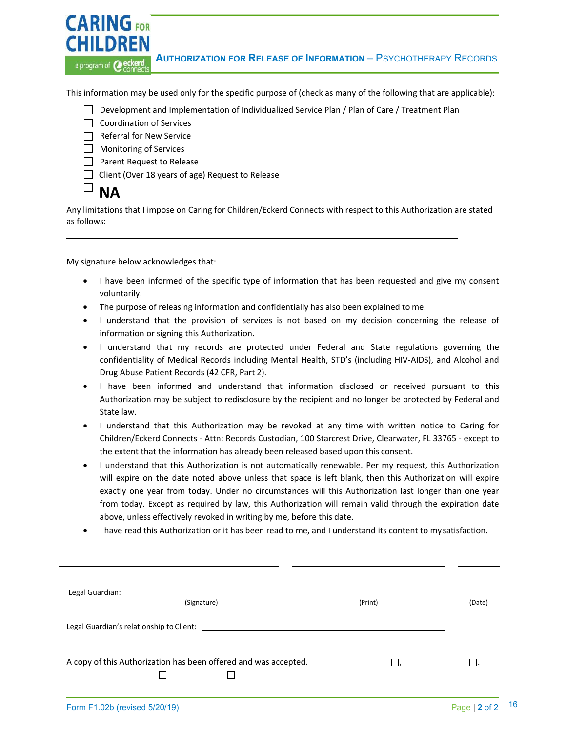**CARING FOR CHILDREN AUTHORIZATION FOR RELEASE OF INFORMATION – PSYCHOTHERAPY RECORDS** a program of **@eckerd** 

This information may be used only for the specific purpose of (check as many of the following that are applicable):

- Development and Implementation of Individualized Service Plan / Plan of Care / Treatment Plan
- Coordination of Services
- $\Box$  Referral for New Service
- **Monitoring of Services**
- □ Parent Request to Release
- $\Box$  Client (Over 18 years of age) Request to Release

 $\Box$  NA

Any limitations that I impose on Caring for Children/Eckerd Connects with respect to this Authorization are stated as follows:

My signature below acknowledges that:

- I have been informed of the specific type of information that has been requested and give my consent voluntarily.
- The purpose of releasing information and confidentially has also been explained to me.
- I understand that the provision of services is not based on my decision concerning the release of information or signing this Authorization.
- I understand that my records are protected under Federal and State regulations governing the confidentiality of Medical Records including Mental Health, STD's (including HIV-AIDS), and Alcohol and Drug Abuse Patient Records (42 CFR, Part 2).
- I have been informed and understand that information disclosed or received pursuant to this Authorization may be subject to redisclosure by the recipient and no longer be protected by Federal and State law.
- I understand that this Authorization may be revoked at any time with written notice to Caring for Children/Eckerd Connects - Attn: Records Custodian, 100 Starcrest Drive, Clearwater, FL 33765 - except to the extent that the information has already been released based upon this consent.
- I understand that this Authorization is not automatically renewable. Per my request, this Authorization will expire on the date noted above unless that space is left blank, then this Authorization will expire exactly one year from today. Under no circumstances will this Authorization last longer than one year from today. Except as required by law, this Authorization will remain valid through the expiration date above, unless effectively revoked in writing by me, before this date.
- I have read this Authorization or it has been read to me, and I understand its content to my satisfaction.

| Legal Guardian: Value of Australian                                                                                                                                                                                           |         |               |
|-------------------------------------------------------------------------------------------------------------------------------------------------------------------------------------------------------------------------------|---------|---------------|
| (Signature)                                                                                                                                                                                                                   | (Print) | (Date)        |
| Legal Guardian's relationship to Client: Negation of the state of the state of the state of the state of the state of the state of the state of the state of the state of the state of the state of the state of the state of |         |               |
| A copy of this Authorization has been offered and was accepted.                                                                                                                                                               |         |               |
| Form F1.02b (revised 5/20/19)                                                                                                                                                                                                 |         | Page   2 of 2 |

16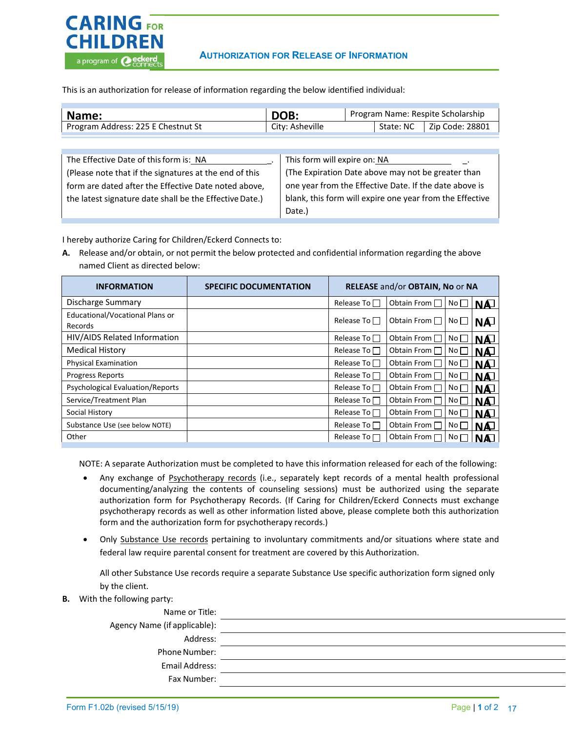

### **AUTHORIZATION FOR RELEASE OF INFORMATION**

This is an authorization for release of information regarding the below identified individual:

| Name:                              | DOB:            | Program Name: Respite Scholarship |  |                             |
|------------------------------------|-----------------|-----------------------------------|--|-----------------------------|
| Program Address: 225 E Chestnut St | City: Asheville |                                   |  | State: NC   Zip Code: 28801 |
|                                    |                 |                                   |  |                             |

| The Effective Date of this form is: NA                  | This form will expire on: NA                             |
|---------------------------------------------------------|----------------------------------------------------------|
| (Please note that if the signatures at the end of this  | (The Expiration Date above may not be greater than       |
| form are dated after the Effective Date noted above,    | one year from the Effective Date. If the date above is   |
| the latest signature date shall be the Effective Date.) | blank, this form will expire one year from the Effective |
|                                                         | Date.)                                                   |

I hereby authorize Caring for Children/Eckerd Connects to:

**A.** Release and/or obtain, or not permit the below protected and confidential information regarding the above named Client as directed below:

| <b>INFORMATION</b>                      | <b>SPECIFIC DOCUMENTATION</b> |                     | RELEASE and/or OBTAIN, No or NA |                                                          |            |
|-----------------------------------------|-------------------------------|---------------------|---------------------------------|----------------------------------------------------------|------------|
| Discharge Summary                       |                               | Release To $\Box$   | Obtain From $\Box$              | $N$ <sup>O</sup> $\Box$ $N$ <sup><math>\Box</math></sup> |            |
| Educational/Vocational Plans or         |                               | Release To $\Box$   | Obtain From $\Box$              | No <sub>l</sub>                                          |            |
| Records                                 |                               |                     |                                 |                                                          | <b>NA</b>  |
| HIV/AIDS Related Information            |                               | Release To $\Box$   | Obtain From $\Box$              | No <sub>1</sub>                                          | <u>INA</u> |
| <b>Medical History</b>                  |                               | Release To □        | Obtain From $\Box$              | No <sub>1</sub>                                          | <u>INA</u> |
| <b>Physical Examination</b>             |                               | Release To          | Obtain From                     | No <sub>1</sub>                                          | <b>NA</b>  |
| <b>Progress Reports</b>                 |                               | Release To $\Box$   | Obtain From $\Box$              | No <sub>1</sub>                                          | <b>INA</b> |
| <b>Psychological Evaluation/Reports</b> |                               | Release To $\Gamma$ | Obtain From $\Box$              | No <sub>1</sub>                                          | <b>INA</b> |
| Service/Treatment Plan                  |                               | Release To $\Gamma$ | Obtain From $\Box$              | No <sub>1</sub>                                          | <u>INA</u> |
| Social History                          |                               | Release To $\Gamma$ | Obtain From $\Box$              | No <sub>1</sub>                                          | <b>NA</b>  |
| Substance Use (see below NOTE)          |                               | Release To $\Box$   | Obtain From                     | No <sub>1</sub>                                          | <b>INA</b> |
| Other                                   |                               | Release To $\Box$   | Obtain From $\Box$              | ∣No⊓                                                     | INAJ       |

NOTE: A separate Authorization must be completed to have this information released for each of the following:

- Any exchange of Psychotherapy records (i.e., separately kept records of a mental health professional documenting/analyzing the contents of counseling sessions) must be authorized using the separate authorization form for Psychotherapy Records. (If Caring for Children/Eckerd Connects must exchange psychotherapy records as well as other information listed above, please complete both this authorization form and the authorization form for psychotherapy records.)
- Only Substance Use records pertaining to involuntary commitments and/or situations where state and federal law require parental consent for treatment are covered by this Authorization.

All other Substance Use records require a separate Substance Use specific authorization form signed only by the client.

**B.** With the following party:

| Name or Title:               |  |
|------------------------------|--|
| Agency Name (if applicable): |  |
| Address:                     |  |
| <b>Phone Number:</b>         |  |
| Email Address:               |  |
| Fax Number:                  |  |